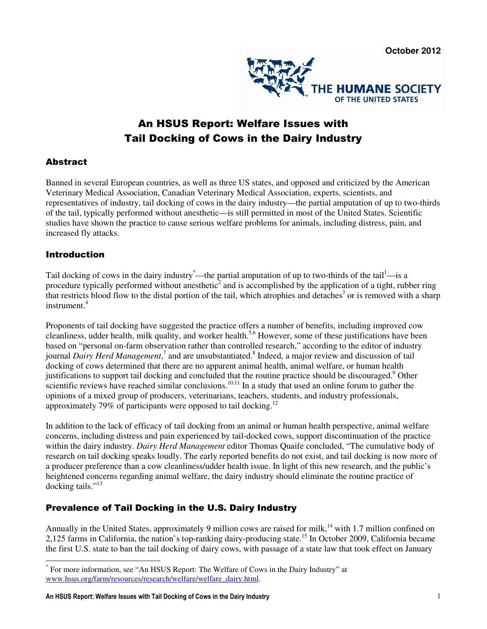

# An HSUS Report: Welfare Issues with Tail Docking of Cows in the Dairy Industry

## **Abstract**

Banned in several European countries, as well as three US states, and opposed and criticized by the American Veterinary Medical Association, Canadian Veterinary Medical Association, experts, scientists, and representatives of industry, tail docking of cows in the dairy industry—the partial amputation of up to two-thirds of the tail, typically performed without anesthetic—is still permitted in most of the United States. Scientific studies have shown the practice to cause serious welfare problems for animals, including distress, pain, and increased fly attacks.

#### Introduction

Tail docking of cows in the dairy industry —the partial amputation of up to two-thirds of the tail —is a procedure typically performed without anesthetic<sup>2</sup> and is accomplished by the application of a tight, rubber ring that restricts blood flow to the distal portion of the tail, which atrophies and detaches<sup>3</sup> or is removed with a sharp instrument.<sup>4</sup>

Proponents of tail docking have suggested the practice offers a number of benefits, including improved cow cleanliness, udder health, milk quality, and worker health.<sup>5,6</sup> However, some of these justifications have been based on "personal on-farm observation rather than controlled research," according to the editor of industry journal *Dairy Herd Management*,<sup>7</sup> and are unsubstantiated.<sup>8</sup> Indeed, a major review and discussion of tail docking of cows determined that there are no apparent animal health, animal welfare, or human health justifications to support tail docking and concluded that the routine practice should be discouraged.<sup>9</sup> Other scientific reviews have reached similar conclusions.<sup>10,11</sup> In a study that used an online forum to gather the opinions of a mixed group of producers, veterinarians, teachers, students, and industry professionals, approximately 79% of participants were opposed to tail docking.<sup>12</sup>

In addition to the lack of efficacy of tail docking from an animal or human health perspective, animal welfare concerns, including distress and pain experienced by tail-docked cows, support discontinuation of the practice within the dairy industry. *Dairy Herd Management* editor Thomas Quaife concluded, "The cumulative body of research on tail docking speaks loudly. The early reported benefits do not exist, and tail docking is now more of a producer preference than a cow cleanliness/udder health issue. In light of this new research, and the public's heightened concerns regarding animal welfare, the dairy industry should eliminate the routine practice of docking tails."<sup>13</sup>

## Prevalence of Tail Docking in the U.S. Dairy Industry

Annually in the United States, approximately 9 million cows are raised for milk,<sup>14</sup> with 1.7 million confined on 2,125 farms in California, the nation's top-ranking dairy-producing state.<sup>15</sup> In October 2009, California became the first U.S. state to ban the tail docking of dairy cows, with passage of a state law that took effect on January

 \* For more information, see "An HSUS Report: The Welfare of Cows in the Dairy Industry" at www.hsus.org/farm/resources/research/welfare/welfare\_dairy.html.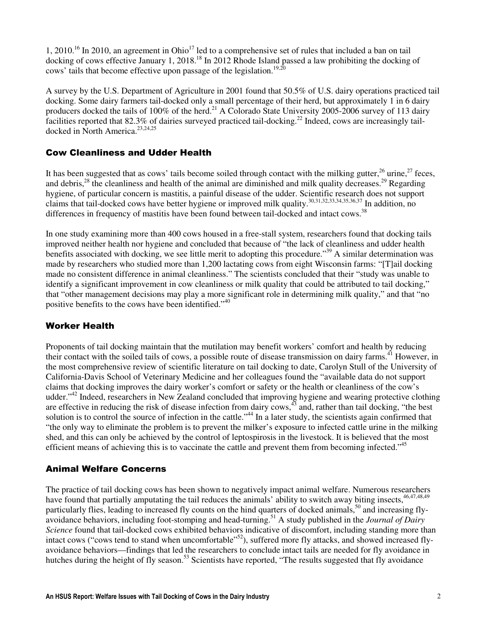1, 2010.<sup>16</sup> In 2010, an agreement in Ohio<sup>17</sup> led to a comprehensive set of rules that included a ban on tail docking of cows effective January 1, 2018.<sup>18</sup> In 2012 Rhode Island passed a law prohibiting the docking of cows' tails that become effective upon passage of the legislation.<sup>19,20</sup>

A survey by the U.S. Department of Agriculture in 2001 found that 50.5% of U.S. dairy operations practiced tail docking. Some dairy farmers tail-docked only a small percentage of their herd, but approximately 1 in 6 dairy producers docked the tails of 100% of the herd.<sup>21</sup> A Colorado State University 2005-2006 survey of 113 dairy facilities reported that  $82.3\%$  of dairies surveyed practiced tail-docking.<sup>22</sup> Indeed, cows are increasingly taildocked in North America.<sup>23,24,25</sup>

### Cow Cleanliness and Udder Health

It has been suggested that as cows' tails become soiled through contact with the milking gutter, $^{26}$  urine, $^{27}$  feces, and debris,<sup>28</sup> the cleanliness and health of the animal are diminished and milk quality decreases.<sup>29</sup> Regarding hygiene, of particular concern is mastitis, a painful disease of the udder. Scientific research does not support claims that tail-docked cows have better hygiene or improved milk quality.<sup>30,31,32,33,34,35,36,37</sup> In addition, no differences in frequency of mastitis have been found between tail-docked and intact cows.<sup>38</sup>

In one study examining more than 400 cows housed in a free-stall system, researchers found that docking tails improved neither health nor hygiene and concluded that because of "the lack of cleanliness and udder health benefits associated with docking, we see little merit to adopting this procedure."<sup>39</sup> A similar determination was made by researchers who studied more than 1.200 lactating cows from eight Wisconsin farms: "[T]ail docking made no consistent difference in animal cleanliness." The scientists concluded that their "study was unable to identify a significant improvement in cow cleanliness or milk quality that could be attributed to tail docking," that "other management decisions may play a more significant role in determining milk quality," and that "no positive benefits to the cows have been identified."<sup>40</sup>

#### Worker Health

Proponents of tail docking maintain that the mutilation may benefit workers' comfort and health by reducing their contact with the soiled tails of cows, a possible route of disease transmission on dairy farms.<sup>41</sup> However, in the most comprehensive review of scientific literature on tail docking to date, Carolyn Stull of the University of California-Davis School of Veterinary Medicine and her colleagues found the "available data do not support claims that docking improves the dairy worker's comfort or safety or the health or cleanliness of the cow's udder."<sup>42</sup> Indeed, researchers in New Zealand concluded that improving hygiene and wearing protective clothing are effective in reducing the risk of disease infection from dairy cows, $43 \text{ and}$ , rather than tail docking, "the best solution is to control the source of infection in the cattle."<sup>44</sup> In a later study, the scientists again confirmed that "the only way to eliminate the problem is to prevent the milker's exposure to infected cattle urine in the milking shed, and this can only be achieved by the control of leptospirosis in the livestock. It is believed that the most efficient means of achieving this is to vaccinate the cattle and prevent them from becoming infected."<sup>45</sup>

## Animal Welfare Concerns

The practice of tail docking cows has been shown to negatively impact animal welfare. Numerous researchers have found that partially amputating the tail reduces the animals' ability to switch away biting insects,<sup>46,47,48,49</sup> particularly flies, leading to increased fly counts on the hind quarters of docked animals,<sup>50</sup> and increasing flyavoidance behaviors, including foot-stomping and head-turning.<sup>51</sup> A study published in the *Journal of Dairy Science* found that tail-docked cows exhibited behaviors indicative of discomfort, including standing more than intact cows ("cows tend to stand when uncomfortable"<sup>52</sup>), suffered more fly attacks, and showed increased flyavoidance behaviors—findings that led the researchers to conclude intact tails are needed for fly avoidance in hutches during the height of fly season.<sup>53</sup> Scientists have reported, "The results suggested that fly avoidance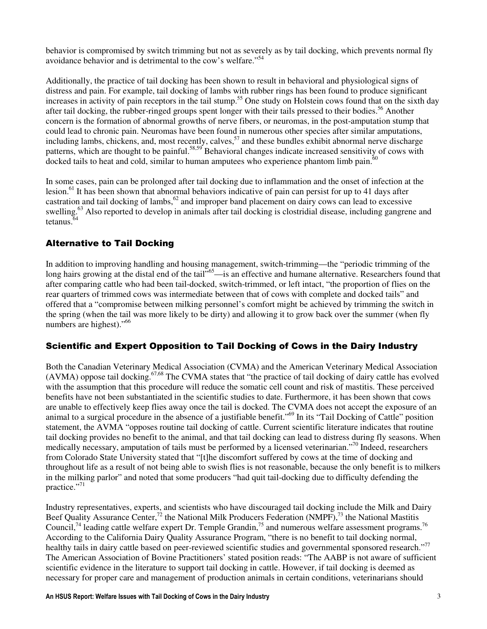behavior is compromised by switch trimming but not as severely as by tail docking, which prevents normal fly avoidance behavior and is detrimental to the cow's welfare."<sup>54</sup>

Additionally, the practice of tail docking has been shown to result in behavioral and physiological signs of distress and pain. For example, tail docking of lambs with rubber rings has been found to produce significant increases in activity of pain receptors in the tail stump.<sup>55</sup> One study on Holstein cows found that on the sixth day after tail docking, the rubber-ringed groups spent longer with their tails pressed to their bodies.<sup>56</sup> Another concern is the formation of abnormal growths of nerve fibers, or neuromas, in the post-amputation stump that could lead to chronic pain. Neuromas have been found in numerous other species after similar amputations, including lambs, chickens, and, most recently, calves,  $57$  and these bundles exhibit abnormal nerve discharge patterns, which are thought to be painful.<sup>58,59</sup> Behavioral changes indicate increased sensitivity of cows with docked tails to heat and cold, similar to human amputees who experience phantom limb pain.<sup>60</sup>

In some cases, pain can be prolonged after tail docking due to inflammation and the onset of infection at the lesion.<sup>61</sup> It has been shown that abnormal behaviors indicative of pain can persist for up to 41 days after castration and tail docking of lambs,  $62$  and improper band placement on dairy cows can lead to excessive swelling.<sup>63</sup> Also reported to develop in animals after tail docking is clostridial disease, including gangrene and tetanus.<sup>64</sup>

## Alternative to Tail Docking

In addition to improving handling and housing management, switch-trimming—the "periodic trimming of the long hairs growing at the distal end of the tail"<sup>65</sup>—is an effective and humane alternative. Researchers found that after comparing cattle who had been tail-docked, switch-trimmed, or left intact, "the proportion of flies on the rear quarters of trimmed cows was intermediate between that of cows with complete and docked tails" and offered that a "compromise between milking personnel's comfort might be achieved by trimming the switch in the spring (when the tail was more likely to be dirty) and allowing it to grow back over the summer (when fly numbers are highest)."<sup>66</sup>

## Scientific and Expert Opposition to Tail Docking of Cows in the Dairy Industry

Both the Canadian Veterinary Medical Association (CVMA) and the American Veterinary Medical Association  $(AVMA)$  oppose tail docking.<sup>67,68</sup> The CVMA states that "the practice of tail docking of dairy cattle has evolved with the assumption that this procedure will reduce the somatic cell count and risk of mastitis. These perceived benefits have not been substantiated in the scientific studies to date. Furthermore, it has been shown that cows are unable to effectively keep flies away once the tail is docked. The CVMA does not accept the exposure of an animal to a surgical procedure in the absence of a justifiable benefit."<sup>69</sup> In its "Tail Docking of Cattle" position statement, the AVMA "opposes routine tail docking of cattle. Current scientific literature indicates that routine tail docking provides no benefit to the animal, and that tail docking can lead to distress during fly seasons. When medically necessary, amputation of tails must be performed by a licensed veterinarian."<sup>70</sup> Indeed, researchers from Colorado State University stated that "[t]he discomfort suffered by cows at the time of docking and throughout life as a result of not being able to swish flies is not reasonable, because the only benefit is to milkers in the milking parlor" and noted that some producers "had quit tail-docking due to difficulty defending the practice."<sup>71</sup>

Industry representatives, experts, and scientists who have discouraged tail docking include the Milk and Dairy Beef Quality Assurance Center,<sup>72</sup> the National Milk Producers Federation (NMPF),<sup>73</sup> the National Mastitis Council,<sup>74</sup> leading cattle welfare expert Dr. Temple Grandin,<sup>75</sup> and numerous welfare assessment programs.<sup>76</sup> According to the California Dairy Quality Assurance Program, "there is no benefit to tail docking normal, healthy tails in dairy cattle based on peer-reviewed scientific studies and governmental sponsored research."<sup>77</sup> The American Association of Bovine Practitioners' stated position reads: "The AABP is not aware of sufficient scientific evidence in the literature to support tail docking in cattle. However, if tail docking is deemed as necessary for proper care and management of production animals in certain conditions, veterinarians should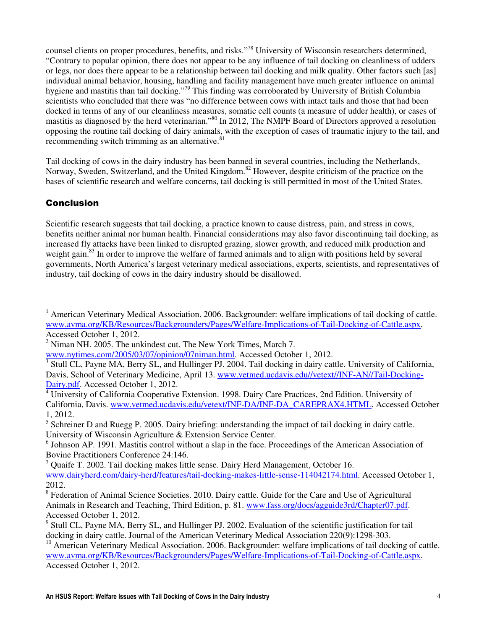counsel clients on proper procedures, benefits, and risks."<sup>78</sup> University of Wisconsin researchers determined, "Contrary to popular opinion, there does not appear to be any influence of tail docking on cleanliness of udders or legs, nor does there appear to be a relationship between tail docking and milk quality. Other factors such [as] individual animal behavior, housing, handling and facility management have much greater influence on animal hygiene and mastitis than tail docking."<sup>79</sup> This finding was corroborated by University of British Columbia scientists who concluded that there was "no difference between cows with intact tails and those that had been docked in terms of any of our cleanliness measures, somatic cell counts (a measure of udder health), or cases of mastitis as diagnosed by the herd veterinarian."<sup>80</sup> In 2012, The NMPF Board of Directors approved a resolution opposing the routine tail docking of dairy animals, with the exception of cases of traumatic injury to the tail, and recommending switch trimming as an alternative. $81$ 

Tail docking of cows in the dairy industry has been banned in several countries, including the Netherlands, Norway, Sweden, Switzerland, and the United Kingdom.<sup>82</sup> However, despite criticism of the practice on the bases of scientific research and welfare concerns, tail docking is still permitted in most of the United States.

## **Conclusion**

Scientific research suggests that tail docking, a practice known to cause distress, pain, and stress in cows, benefits neither animal nor human health. Financial considerations may also favor discontinuing tail docking, as increased fly attacks have been linked to disrupted grazing, slower growth, and reduced milk production and weight gain.<sup>83</sup> In order to improve the welfare of farmed animals and to align with positions held by several governments, North America's largest veterinary medical associations, experts, scientists, and representatives of industry, tail docking of cows in the dairy industry should be disallowed.

 $\overline{a}$ <sup>1</sup> American Veterinary Medical Association. 2006. Backgrounder: welfare implications of tail docking of cattle. www.avma.org/KB/Resources/Backgrounders/Pages/Welfare-Implications-of-Tail-Docking-of-Cattle.aspx. Accessed October 1, 2012.

 $2$  Niman NH. 2005. The unkindest cut. The New York Times, March 7.

www.nytimes.com/2005/03/07/opinion/07niman.html. Accessed October 1, 2012.

<sup>3</sup> Stull CL, Payne MA, Berry SL, and Hullinger PJ. 2004. Tail docking in dairy cattle. University of California, Davis, School of Veterinary Medicine, April 13. www.vetmed.ucdavis.edu//vetext//INF-AN//Tail-Docking-Dairy.pdf. Accessed October 1, 2012.

<sup>&</sup>lt;sup>4</sup> University of California Cooperative Extension. 1998. Dairy Care Practices, 2nd Edition. University of California, Davis. www.vetmed.ucdavis.edu/vetext/INF-DA/INF-DA\_CAREPRAX4.HTML. Accessed October 1, 2012.

 $<sup>5</sup>$  Schreiner D and Ruegg P. 2005. Dairy briefing: understanding the impact of tail docking in dairy cattle.</sup> University of Wisconsin Agriculture & Extension Service Center.

<sup>&</sup>lt;sup>6</sup> Johnson AP. 1991. Mastitis control without a slap in the face. Proceedings of the American Association of Bovine Practitioners Conference 24:146.

<sup>&</sup>lt;sup>7</sup> Quaife T. 2002. Tail docking makes little sense. Dairy Herd Management, October 16. www.dairyherd.com/dairy-herd/features/tail-docking-makes-little-sense-114042174.html. Accessed October 1, 2012.

<sup>&</sup>lt;sup>8</sup> Federation of Animal Science Societies. 2010. Dairy cattle. Guide for the Care and Use of Agricultural Animals in Research and Teaching, Third Edition, p. 81. www.fass.org/docs/agguide3rd/Chapter07.pdf. Accessed October 1, 2012.

<sup>&</sup>lt;sup>9</sup> Stull CL, Payne MA, Berry SL, and Hullinger PJ. 2002. Evaluation of the scientific justification for tail docking in dairy cattle. Journal of the American Veterinary Medical Association 220(9):1298-303.

 $10$  American Veterinary Medical Association. 2006. Backgrounder: welfare implications of tail docking of cattle. www.avma.org/KB/Resources/Backgrounders/Pages/Welfare-Implications-of-Tail-Docking-of-Cattle.aspx. Accessed October 1, 2012.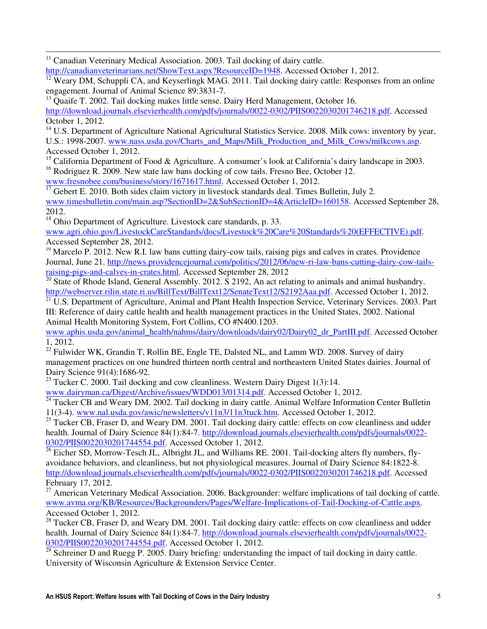$11$  Canadian Veterinary Medical Association. 2003. Tail docking of dairy cattle.

 $\overline{a}$ 

http://canadianveterinarians.net/ShowText.aspx?ResourceID=1948. Accessed October 1, 2012.

<sup>12</sup> Weary DM, Schuppli CA, and Keyserlingk MAG. 2011. Tail docking dairy cattle: Responses from an online engagement. Journal of Animal Science 89:3831-7.

<sup>13</sup> Quaife T. 2002. Tail docking makes little sense. Dairy Herd Management, October 16.

http://download.journals.elsevierhealth.com/pdfs/journals/0022-0302/PIIS0022030201746218.pdf. Accessed October 1, 2012.

<sup>14</sup> U.S. Department of Agriculture National Agricultural Statistics Service. 2008. Milk cows: inventory by year, U.S.: 1998-2007. www.nass.usda.gov/Charts\_and\_Maps/Milk\_Production\_and\_Milk\_Cows/milkcows.asp. Accessed October 1, 2012.

<sup>15</sup> California Department of Food & Agriculture. A consumer's look at California's dairy landscape in 2003. <sup>16</sup> Rodriguez R. 2009. New state law bans docking of cow tails. Fresno Bee, October 12.

www.fresnobee.com/business/story/1671617.html. Accessed October 1, 2012.

 $\frac{17}{17}$  Gebert E. 2010. Both sides claim victory in livestock standards deal. Times Bulletin, July 2. www.timesbulletin.com/main.asp?SectionID=2&SubSectionID=4&ArticleID=160158. Accessed September 28, 2012.

<sup>18</sup> Ohio Department of Agriculture. Livestock care standards, p. 33.

www.agri.ohio.gov/LivestockCareStandards/docs/Livestock%20Care%20Standards%20(EFFECTIVE).pdf. Accessed September 28, 2012.

 $19$  Marcelo P. 2012. New R.I. law bans cutting dairy-cow tails, raising pigs and calves in crates. Providence Journal, June 21. http://news.providencejournal.com/politics/2012/06/new-ri-law-bans-cutting-dairy-cow-tailsraising-pigs-and-calves-in-crates.html. Accessed September 28, 2012

<sup>20</sup> State of Rhode Island, General Assembly. 2012. S 2192, An act relating to animals and animal husbandry. http://webserver.rilin.state.ri.us/BillText/BillText12/SenateText12/S2192Aaa.pdf. Accessed October 1, 2012.

 $\frac{21}{21}$  U.S. Department of Agriculture, Animal and Plant Health Inspection Service, Veterinary Services. 2003. Part III: Reference of dairy cattle health and health management practices in the United States, 2002. National Animal Health Monitoring System, Fort Collins, CO #N400.1203.

www.aphis.usda.gov/animal\_health/nahms/dairy/downloads/dairy02/Dairy02\_dr\_PartIII.pdf. Accessed October 1, 2012.

 $22$  Fulwider WK, Grandin T, Rollin BE, Engle TE, Dalsted NL, and Lamm WD. 2008. Survey of dairy management practices on one hundred thirteen north central and northeastern United States dairies. Journal of Dairy Science 91(4):1686-92.

<sup>23</sup> Tucker C. 2000. Tail docking and cow cleanliness. Western Dairy Digest 1(3):14.

www.dairyman.ca/Digest/Archive/issues/WDD013/01314.pdf. Accessed October 1, 2012.

<sup>24</sup> Tucker CB and Weary DM. 2002. Tail docking in dairy cattle. Animal Welfare Information Center Bulletin 11(3-4). www.nal.usda.gov/awic/newsletters/v11n3/11n3tuck.htm. Accessed October 1, 2012.

<sup>25</sup> Tucker CB, Fraser D, and Weary DM. 2001. Tail docking dairy cattle: effects on cow cleanliness and udder health. Journal of Dairy Science 84(1):84-7. http://download.journals.elsevierhealth.com/pdfs/journals/0022-0302/PIIS0022030201744554.pdf. Accessed October 1, 2012.

 $\frac{26}{26}$  Eicher SD, Morrow-Tesch JL, Albright JL, and Williams RE. 2001. Tail-docking alters fly numbers, flyavoidance behaviors, and cleanliness, but not physiological measures. Journal of Dairy Science 84:1822-8. http://download.journals.elsevierhealth.com/pdfs/journals/0022-0302/PIIS0022030201746218.pdf. Accessed February 17, 2012.

 $^{27}$  American Veterinary Medical Association. 2006. Backgrounder: welfare implications of tail docking of cattle. www.avma.org/KB/Resources/Backgrounders/Pages/Welfare-Implications-of-Tail-Docking-of-Cattle.aspx. Accessed October 1, 2012.

<sup>28</sup> Tucker CB, Fraser D, and Weary DM. 2001. Tail docking dairy cattle: effects on cow cleanliness and udder health. Journal of Dairy Science 84(1):84-7. http://download.journals.elsevierhealth.com/pdfs/journals/0022-0302/PIIS0022030201744554.pdf. Accessed October 1, 2012.

<sup>29</sup> Schreiner D and Ruegg P. 2005. Dairy briefing: understanding the impact of tail docking in dairy cattle. University of Wisconsin Agriculture & Extension Service Center.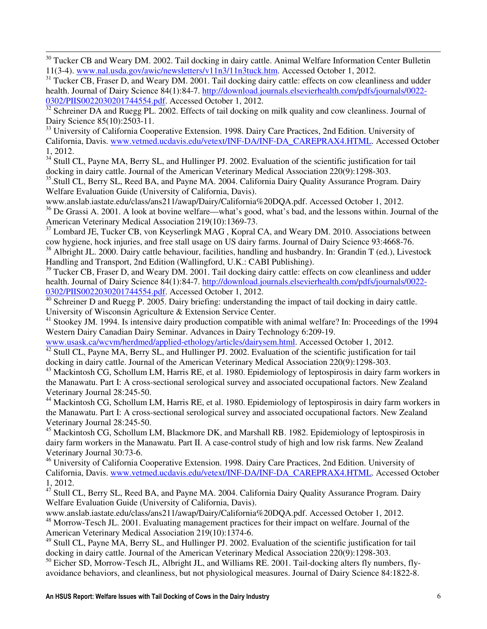<sup>30</sup> Tucker CB and Weary DM. 2002. Tail docking in dairy cattle. Animal Welfare Information Center Bulletin 11(3-4). www.nal.usda.gov/awic/newsletters/v11n3/11n3tuck.htm. Accessed October 1, 2012.

 $\overline{a}$ 

<sup>31</sup> Tucker CB, Fraser D, and Weary DM. 2001. Tail docking dairy cattle: effects on cow cleanliness and udder health. Journal of Dairy Science 84(1):84-7. http://download.journals.elsevierhealth.com/pdfs/journals/0022- 0302/PIIS0022030201744554.pdf. Accessed October 1, 2012.

<sup>32</sup> Schreiner DA and Ruegg PL. 2002. Effects of tail docking on milk quality and cow cleanliness. Journal of Dairy Science 85(10):2503-11.

<sup>33</sup> University of California Cooperative Extension. 1998. Dairy Care Practices, 2nd Edition. University of California, Davis. www.vetmed.ucdavis.edu/vetext/INF-DA/INF-DA\_CAREPRAX4.HTML. Accessed October 1, 2012.

<sup>34</sup> Stull CL, Payne MA, Berry SL, and Hullinger PJ. 2002. Evaluation of the scientific justification for tail docking in dairy cattle. Journal of the American Veterinary Medical Association 220(9):1298-303.

<sup>35</sup>. Stull CL, Berry SL, Reed BA, and Payne MA. 2004. California Dairy Quality Assurance Program. Dairy Welfare Evaluation Guide (University of California, Davis).

www.anslab.iastate.edu/class/ans211/awap/Dairy/California%20DQA.pdf. Accessed October 1, 2012.

<sup>36</sup> De Grassi A. 2001. A look at bovine welfare—what's good, what's bad, and the lessons within. Journal of the American Veterinary Medical Association 219(10):1369-73.

<sup>37</sup> Lombard JE, Tucker CB, von Keyserlingk MAG, Kopral CA, and Weary DM. 2010. Associations between cow hygiene, hock injuries, and free stall usage on US dairy farms. Journal of Dairy Science 93:4668-76.

<sup>38</sup> Albright JL. 2000. Dairy cattle behaviour, facilities, handling and husbandry. In: Grandin T (ed.), Livestock Handling and Transport, 2nd Edition (Wallingford, U.K.: CABI Publishing).

<sup>39</sup> Tucker CB, Fraser D, and Weary DM. 2001. Tail docking dairy cattle: effects on cow cleanliness and udder health. Journal of Dairy Science 84(1):84-7. http://download.journals.elsevierhealth.com/pdfs/journals/0022- 0302/PIIS0022030201744554.pdf. Accessed October 1, 2012.

 $\frac{40}{40}$  Schreiner D and Ruegg P. 2005. Dairy briefing: understanding the impact of tail docking in dairy cattle. University of Wisconsin Agriculture & Extension Service Center.

<sup>41</sup> Stookey JM. 1994. Is intensive dairy production compatible with animal welfare? In: Proceedings of the 1994 Western Dairy Canadian Dairy Seminar. Advances in Dairy Technology 6:209-19.

www.usask.ca/wcvm/herdmed/applied-ethology/articles/dairysem.html. Accessed October 1, 2012.  $\frac{42}{42}$  Stull CL, Payne MA, Berry SL, and Hullinger PJ. 2002. Evaluation of the scientific justification for tail

docking in dairy cattle. Journal of the American Veterinary Medical Association 220(9):1298-303.

<sup>43</sup> Mackintosh CG, Schollum LM, Harris RE, et al. 1980. Epidemiology of leptospirosis in dairy farm workers in the Manawatu. Part I: A cross-sectional serological survey and associated occupational factors. New Zealand Veterinary Journal 28:245-50.

<sup>44</sup> Mackintosh CG, Schollum LM, Harris RE, et al. 1980. Epidemiology of leptospirosis in dairy farm workers in the Manawatu. Part I: A cross-sectional serological survey and associated occupational factors. New Zealand Veterinary Journal 28:245-50.

<sup>45</sup> Mackintosh CG, Schollum LM, Blackmore DK, and Marshall RB. 1982. Epidemiology of leptospirosis in dairy farm workers in the Manawatu. Part II. A case-control study of high and low risk farms. New Zealand Veterinary Journal 30:73-6.

<sup>46</sup> University of California Cooperative Extension. 1998. Dairy Care Practices, 2nd Edition. University of California, Davis. www.vetmed.ucdavis.edu/vetext/INF-DA/INF-DA\_CAREPRAX4.HTML. Accessed October 1, 2012.

 $47$  Stull CL, Berry SL, Reed BA, and Payne MA. 2004. California Dairy Quality Assurance Program. Dairy Welfare Evaluation Guide (University of California, Davis).

www.anslab.iastate.edu/class/ans211/awap/Dairy/California%20DQA.pdf. Accessed October 1, 2012. <sup>48</sup> Morrow-Tesch JL. 2001. Evaluating management practices for their impact on welfare. Journal of the American Veterinary Medical Association 219(10):1374-6.

<sup>49</sup> Stull CL, Payne MA, Berry SL, and Hullinger PJ. 2002. Evaluation of the scientific justification for tail docking in dairy cattle. Journal of the American Veterinary Medical Association 220(9):1298-303.

 $50$  Eicher SD, Morrow-Tesch JL, Albright JL, and Williams RE. 2001. Tail-docking alters fly numbers, flyavoidance behaviors, and cleanliness, but not physiological measures. Journal of Dairy Science 84:1822-8.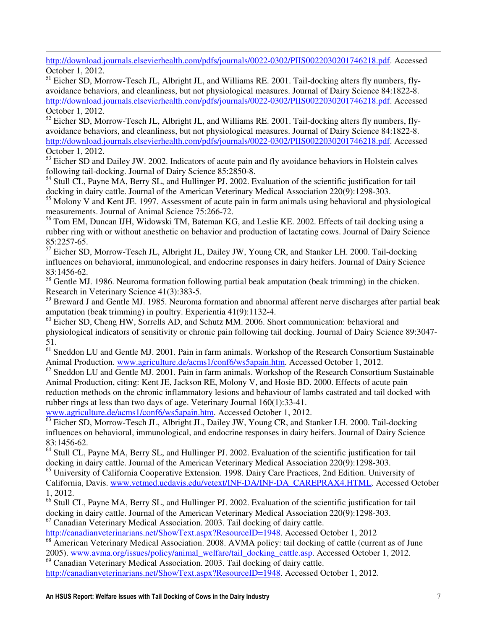$\overline{a}$ http://download.journals.elsevierhealth.com/pdfs/journals/0022-0302/PIIS0022030201746218.pdf. Accessed October 1, 2012.

<sup>51</sup> Eicher SD, Morrow-Tesch JL, Albright JL, and Williams RE. 2001. Tail-docking alters fly numbers, flyavoidance behaviors, and cleanliness, but not physiological measures. Journal of Dairy Science 84:1822-8. http://download.journals.elsevierhealth.com/pdfs/journals/0022-0302/PIIS0022030201746218.pdf. Accessed October 1, 2012.

<sup>52</sup> Eicher SD, Morrow-Tesch JL, Albright JL, and Williams RE. 2001. Tail-docking alters fly numbers, flyavoidance behaviors, and cleanliness, but not physiological measures. Journal of Dairy Science 84:1822-8. http://download.journals.elsevierhealth.com/pdfs/journals/0022-0302/PIIS0022030201746218.pdf. Accessed October 1, 2012.

<sup>53</sup> Eicher SD and Dailey JW. 2002. Indicators of acute pain and fly avoidance behaviors in Holstein calves following tail-docking. Journal of Dairy Science 85:2850-8.

<sup>54</sup> Stull CL, Payne MA, Berry SL, and Hullinger PJ. 2002. Evaluation of the scientific justification for tail docking in dairy cattle. Journal of the American Veterinary Medical Association 220(9):1298-303.

<sup>55</sup> Molony V and Kent JE. 1997. Assessment of acute pain in farm animals using behavioral and physiological measurements. Journal of Animal Science 75:266-72.

<sup>56</sup> Tom EM, Duncan IJH, Widowski TM, Bateman KG, and Leslie KE. 2002. Effects of tail docking using a rubber ring with or without anesthetic on behavior and production of lactating cows. Journal of Dairy Science 85:2257-65.

<sup>57</sup> Eicher SD, Morrow-Tesch JL, Albright JL, Dailey JW, Young CR, and Stanker LH. 2000. Tail-docking influences on behavioral, immunological, and endocrine responses in dairy heifers. Journal of Dairy Science 83:1456-62.

<sup>58</sup> Gentle MJ. 1986. Neuroma formation following partial beak amputation (beak trimming) in the chicken. Research in Veterinary Science 41(3):383-5.

<sup>59</sup> Breward J and Gentle MJ. 1985. Neuroma formation and abnormal afferent nerve discharges after partial beak amputation (beak trimming) in poultry. Experientia 41(9):1132-4.

<sup>60</sup> Eicher SD, Cheng HW, Sorrells AD, and Schutz MM. 2006. Short communication: behavioral and physiological indicators of sensitivity or chronic pain following tail docking. Journal of Dairy Science 89:3047- 51.

<sup>61</sup> Sneddon LU and Gentle MJ. 2001. Pain in farm animals. Workshop of the Research Consortium Sustainable Animal Production. www.agriculture.de/acms1/conf6/ws5apain.htm. Accessed October 1, 2012.

<sup>62</sup> Sneddon LU and Gentle MJ. 2001. Pain in farm animals. Workshop of the Research Consortium Sustainable Animal Production, citing: Kent JE, Jackson RE, Molony V, and Hosie BD. 2000. Effects of acute pain reduction methods on the chronic inflammatory lesions and behaviour of lambs castrated and tail docked with rubber rings at less than two days of age. Veterinary Journal 160(1):33-41.

www.agriculture.de/acms1/conf6/ws5apain.htm. Accessed October 1, 2012.

<sup>63</sup> Eicher SD, Morrow-Tesch JL, Albright JL, Dailey JW, Young CR, and Stanker LH. 2000. Tail-docking influences on behavioral, immunological, and endocrine responses in dairy heifers. Journal of Dairy Science 83:1456-62.

<sup>64</sup> Stull CL, Payne MA, Berry SL, and Hullinger PJ. 2002. Evaluation of the scientific justification for tail docking in dairy cattle. Journal of the American Veterinary Medical Association 220(9):1298-303.

<sup>65</sup> University of California Cooperative Extension. 1998. Dairy Care Practices, 2nd Edition. University of California, Davis. www.vetmed.ucdavis.edu/vetext/INF-DA/INF-DA\_CAREPRAX4.HTML. Accessed October 1, 2012.

<sup>66</sup> Stull CL, Payne MA, Berry SL, and Hullinger PJ. 2002. Evaluation of the scientific justification for tail docking in dairy cattle. Journal of the American Veterinary Medical Association 220(9):1298-303.

<sup>67</sup> Canadian Veterinary Medical Association. 2003. Tail docking of dairy cattle.

http://canadianveterinarians.net/ShowText.aspx?ResourceID=1948. Accessed October 1, 2012

<sup>68</sup> American Veterinary Medical Association. 2008. AVMA policy: tail docking of cattle (current as of June 2005). www.avma.org/issues/policy/animal\_welfare/tail\_docking\_cattle.asp. Accessed October 1, 2012. <sup>69</sup> Canadian Veterinary Medical Association. 2003. Tail docking of dairy cattle.

http://canadianveterinarians.net/ShowText.aspx?ResourceID=1948. Accessed October 1, 2012.